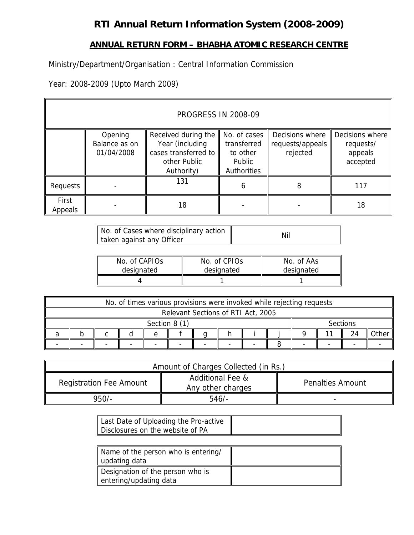# **RTI Annual Return Information System (2008-2009)**

## **ANNUAL RETURN FORM – BHABHA ATOMIC RESEARCH CENTRE**

Ministry/Department/Organisation : Central Information Commission

Year: 2008-2009 (Upto March 2009)

| <b>PROGRESS IN 2008-09</b> |                                        |                                                                                              |                                                                  |                                                     |     |  |  |  |  |
|----------------------------|----------------------------------------|----------------------------------------------------------------------------------------------|------------------------------------------------------------------|-----------------------------------------------------|-----|--|--|--|--|
|                            | Opening<br>Balance as on<br>01/04/2008 | Received during the<br>Year (including<br>cases transferred to<br>other Public<br>Authority) | No. of cases<br>transferred<br>to other<br>Public<br>Authorities | Decisions where<br>requests/<br>appeals<br>accepted |     |  |  |  |  |
| Requests                   |                                        | 131                                                                                          | 6                                                                | 8                                                   | 117 |  |  |  |  |
| First<br>Appeals           |                                        | 18                                                                                           |                                                                  |                                                     | 18  |  |  |  |  |

| No. of Cases where disciplinary action | Nil |
|----------------------------------------|-----|
| taken against any Officer              |     |

| No. of CAPIOS | No. of CPIOs | No. of AAs |
|---------------|--------------|------------|
| designated    | designated   | designated |
|               |              |            |

|                                    | No. of times various provisions were invoked while rejecting requests |  |  |  |  |  |  |  |  |                 |  |    |      |
|------------------------------------|-----------------------------------------------------------------------|--|--|--|--|--|--|--|--|-----------------|--|----|------|
| Relevant Sections of RTI Act, 2005 |                                                                       |  |  |  |  |  |  |  |  |                 |  |    |      |
|                                    | Section 8 (1)                                                         |  |  |  |  |  |  |  |  | <b>Sections</b> |  |    |      |
|                                    |                                                                       |  |  |  |  |  |  |  |  |                 |  | 24 | ≀the |
|                                    |                                                                       |  |  |  |  |  |  |  |  |                 |  |    |      |

| Amount of Charges Collected (in Rs.) |                                                  |                         |  |  |  |  |  |  |
|--------------------------------------|--------------------------------------------------|-------------------------|--|--|--|--|--|--|
| <b>Registration Fee Amount</b>       | <b>Additional Fee &amp;</b><br>Any other charges | <b>Penalties Amount</b> |  |  |  |  |  |  |
| $950/-$                              | 546/                                             |                         |  |  |  |  |  |  |

| Last Date of Uploading the Pro-active |  |
|---------------------------------------|--|
| Disclosures on the website of PA      |  |

| Name of the person who is entering/<br>updating data       |  |
|------------------------------------------------------------|--|
| Designation of the person who is<br>entering/updating data |  |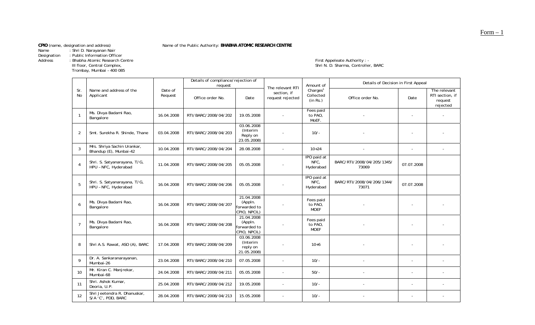Name : Shri D. Narayanan Nair

Designation : Public Information Officer

Trombay, Mumbai – 400<br>Trombay, Mumbai – 400<br>Trombay, Mumbai – 400

Name of the Public Authority: BHABHA ATOMIC RESEARCH CENTRE

Address : Bhabha Atomic Research Centre First Appeleate Authority : - - - - - - - - First Appeleate Authority : -First Appeleate Authority : -<br>Shri N. D. Sharma, Controller, BARC

|                  |                                                       |                    | Details of compliance/rejection of<br>request |                                                       | The relevant RTI                | Amount of                                     | Details of Decision in First Appeal |                          |                                                        |
|------------------|-------------------------------------------------------|--------------------|-----------------------------------------------|-------------------------------------------------------|---------------------------------|-----------------------------------------------|-------------------------------------|--------------------------|--------------------------------------------------------|
| Sr.<br><b>No</b> | Name and address of the<br>Applicant                  | Date of<br>Request | Office order No.                              | Date                                                  | section, if<br>request rejected | Charles <sup>1</sup><br>Collected<br>(in Rs.) | Office order No.                    | Date                     | The relevant<br>RTI section, if<br>request<br>rejected |
| -1               | Ms. Divya Badami Rao,<br>Bangalore                    | 16.04.2008         | RTI/BARC/2008/04/202                          | 19.05.2008                                            |                                 | Fees paid<br>to PAO,<br>MoEF.                 |                                     | $\blacksquare$           |                                                        |
| 2                | Smt. Surekha R. Shinde, Thane                         | 03.04.2008         | RTI/BARC/2008/04/203                          | 03.06.2008<br>(Interim<br>Reply on<br>23.05.2008)     |                                 | $10/-$                                        |                                     |                          |                                                        |
| 3                | Mrs. Shriya Sachin Urankar,<br>Bhandup (E), Munbai-42 | 10.04.2008         | RTI/BARC/2008/04/204                          | 28.08.2008                                            | $\blacksquare$                  | $10+24$                                       |                                     | $\sim$                   |                                                        |
|                  | Shri. S. Satyanarayana, T/G,<br>HPU - NFC, Hyderabad  | 11.04.2008         | RTI/BARC/2008/04/205                          | 05.05.2008                                            |                                 | IPO paid at<br>NFC.<br>Hyderabad              | BARC/RTI/2008/04/205/1345/<br>73069 | 07.07.2008               |                                                        |
| 5                | Shri. S. Satyanarayana, T/G,<br>HPU - NFC, Hyderabad  | 16.04.2008         | RTI/BARC/2008/04/206                          | 05.05.2008                                            |                                 | IPO paid at<br>NFC,<br>Hyderabad              | BARC/RTI/2008/04/206/1344/<br>73071 | 07.07.2008               |                                                        |
| 6                | Ms. Divya Badami Rao,<br>Bangalore                    | 16.04.2008         | RTI/BARC/2008/04/207                          | 21.04.2008<br>(Appln.<br>forwarded to<br>CPIO, NPCIL) |                                 | Fees paid<br>to PAO,<br><b>MOEF</b>           |                                     |                          |                                                        |
| $\overline{7}$   | Ms. Divya Badami Rao,<br>Bangalore                    | 16.04.2008         | RTI/BARC/2008/04/208                          | 21.04.2008<br>(Appln.<br>forwarded to<br>CPIO, NPCIL) |                                 | Fees paid<br>to PAO,<br><b>MOEF</b>           |                                     |                          |                                                        |
| 8                | Shri A.S. Rawat, ASO (A), BARC                        | 17.04.2008         | RTI/BARC/2008/04/209                          | 03.06.2008<br>(Interim<br>reply on<br>21.05.2008)     |                                 | $10+6$                                        |                                     | ÷,                       |                                                        |
| 9                | Dr. A. Sankaranarayanan,<br>Mumbai-26                 | 23.04.2008         | RTI/BARC/2008/04/210                          | 07.05.2008                                            | $\overline{a}$                  | $10/-$                                        |                                     | $\overline{\phantom{a}}$ |                                                        |
| 10               | Mr. Kiran C. Manjrekar,<br>Mumbai-68                  | 24.04.2008         | RTI/BARC/2008/04/211                          | 05.05.2008                                            | $\overline{\phantom{a}}$        | $50/-$                                        |                                     | $\sim$                   |                                                        |
| 11               | Shri. Ashok Kumar,<br>Deoria, U.P.                    | 25.04.2008         | RTI/BARC/2008/04/212                          | 19.05.2008                                            | $\omega$                        | $10/-$                                        |                                     | $\sim$                   |                                                        |
| 12               | Shri Jeetendra R. Dhanuskar,<br>S/A 'C', PDD, BARC    | 28.04.2008         | RTI/BARC/2008/04/213                          | 15.05.2008                                            |                                 | $10/-$                                        |                                     |                          |                                                        |

Form – 1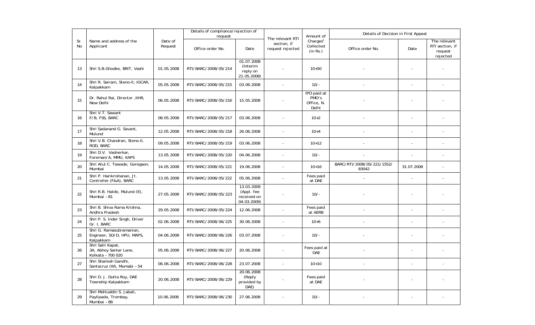|           |                                                                     |                    | Details of compliance/rejection of<br>request |                                                        |                                                     | Amount of                                     | Details of Decision in First Appeal |            |                                                        |
|-----------|---------------------------------------------------------------------|--------------------|-----------------------------------------------|--------------------------------------------------------|-----------------------------------------------------|-----------------------------------------------|-------------------------------------|------------|--------------------------------------------------------|
| Sr.<br>No | Name and address of the<br>Applicant                                | Date of<br>Request | Office order No.                              | Date                                                   | The relevant RTI<br>section, if<br>request rejected | Charles <sup>1</sup><br>Collected<br>(in Rs.) | Office order No.                    | Date       | The relevant<br>RTI section, if<br>request<br>rejected |
| 13        | Shri S.B.Ghodke, BRIT, Vashi                                        | 01.05.2008         | RTI/BARC/2008/05/214                          | 01.07.2008<br>(Interim<br>reply on<br>21.05.2008)      |                                                     | $10 + 50$                                     |                                     |            |                                                        |
| 14        | Shri R. Sairam, Steno-II, IGCAR,<br>Kalpakkam                       | 05.05.2008         | RTI/BARC/2008/05/215                          | 03.06.2008                                             | $\sim$                                              | $10/-$                                        |                                     |            |                                                        |
| 15        | Dr. Rahul Rai, Director, IIHR,<br>New Delhi                         | 06.05.2008         | RTI/BARC/2008/05/216                          | 15.05.2008                                             |                                                     | IPO paid at<br>PMO's<br>Office, N.<br>Delhi   |                                     |            |                                                        |
| 16        | Shri V.T. Sawant<br>F/B, FSS, BARC                                  | 08.05.2008         | RTI/BARC/2008/05/217                          | 03.06.2008                                             |                                                     | $10+2$                                        |                                     |            |                                                        |
| 17        | Shri Sadanand G. Savant,<br>Mulund                                  | 12.05.2008         | RTI/BARC/2008/05/218                          | 26.06.2008                                             | $\sim$                                              | $10+4$                                        |                                     |            |                                                        |
| 18        | Shri V.B. Chandran, Steno-II,<br>ROD, BARC                          | 09.05.2008         | RTI/BARC/2008/05/219                          | 03.06.2008                                             | $\sim$                                              | $10+12$                                       |                                     |            |                                                        |
| 19        | Shri D.V. Vadnerkar,<br>Foreman/A, MMU, KAPS                        | 13.05.2008         | RTI/BARC/2008/05/220                          | 04.06.2008                                             |                                                     | $10/-$                                        |                                     |            |                                                        |
| 20        | Shri Atul C. Tawade, Goregaon,<br>Mumbai                            | 14.05.2008         | RTI/BARC/2008/05/221                          | 19.06.2008                                             | $\sim$                                              | $10+16$                                       | BARC/RTI/2008/05/221/1552/<br>83042 | 31.07.2008 |                                                        |
| 21        | Shri P. Harikrishanan, Jt.<br>Controller (F&A), BARC                | 13.05.2008         | RTI/BARC/2008/05/222                          | 05.06.2008                                             | $\tilde{\phantom{a}}$                               | Fees paid<br>at DAE                           |                                     |            |                                                        |
| 22        | Shri R.B. Halde, Mulund (E),<br>Mumbai - 81                         | 27.05.2008         | RTI/BARC/2008/05/223                          | 13.03.2009<br>(Appl. fee<br>received on<br>04.03.2009) |                                                     | $10/-$                                        |                                     |            |                                                        |
| 23        | Shri B. Shiva Rama Krishna,<br>Andhra Pradesh                       | 29.05.2008         | RTI/BARC/2008/05/224                          | 12.06.2008                                             | $\overline{\phantom{a}}$                            | Fees paid<br>at AERB                          |                                     |            |                                                        |
| 24        | Shri P. S. Inder Singh, Driver<br>Gr. I, BARC                       | 02.06.2008         | RTI/BARC/2008/06/225                          | 30.06.2008                                             | $\blacksquare$                                      | $10 + 6$                                      |                                     |            |                                                        |
| 25        | Shri G. Ramasubramanian,<br>Engineer, SO/D, HPU, MAPS,<br>Kalpakkam | 04.06.2008         | RTI/BARC/2008/06/226                          | 03.07.2008                                             |                                                     | $10/-$                                        |                                     |            |                                                        |
| 26        | Shri Salil Kapat,<br>3A, Abhoy Sarkar Lane,<br>Kolkata - 700 020    | 05.06.2008         | RTI/BARC/2008/06/227                          | 20.06.2008                                             |                                                     | Fees paid at<br><b>DAE</b>                    |                                     |            |                                                        |
| 27        | Shri Shailesh Gandhi,<br>Santacruz (W), Mumabi - 54                 | 06.06.2008         | RTI/BARC/2008/06/228                          | 23.07.2008                                             | $\bar{\phantom{a}}$                                 | $10+10$                                       |                                     |            |                                                        |
| 28        | Shri D. J. Dutta Roy, DAE<br>Township Kalpakkam                     | 20.06.2008         | RTI/BARC/2008/06/229                          | 20.06.2008<br>(Reply<br>provided by<br>DAE)            |                                                     | Fees paid<br>at DAE                           |                                     |            |                                                        |
| 29        | Shri Mohiuddin S. Jabali,<br>Paylipada, Trombay,<br>Mumbai - 88     | 10.06.2008         | RTI/BARC/2008/06/230                          | 27.06.2008                                             |                                                     | $10/-$                                        |                                     |            |                                                        |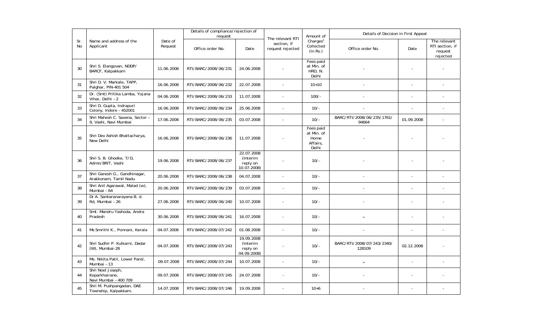|           |                                                              |                    | Details of compliance/rejection of<br>request |                                                   |                                                     | Amount of                                            | Details of Decision in First Appeal  |                |                                                        |
|-----------|--------------------------------------------------------------|--------------------|-----------------------------------------------|---------------------------------------------------|-----------------------------------------------------|------------------------------------------------------|--------------------------------------|----------------|--------------------------------------------------------|
| Sr.<br>No | Name and address of the<br>Applicant                         | Date of<br>Request | Office order No.                              | Date                                              | The relevant RTI<br>section, if<br>request rejected | Charles <sup>1</sup><br>Collected<br>(in Rs.)        | Office order No.                     | Date           | The relevant<br>RTI section, if<br>request<br>rejected |
| 30        | Shri S. Elangovan, NDDP/<br>BARCF, Kalpakkam                 | 11.06.2008         | RTI/BARC/2008/06/231                          | 24.06.2008                                        |                                                     | Fees paid<br>at Min. of<br>HRD, N.<br>Delhi          |                                      |                |                                                        |
| 31        | Shri D. V. Markale, TAPP,<br>Palghar, PIN-401 504            | 16.06.2008         | RTI/BARC/2008/06/232                          | 22.07.2008                                        |                                                     | $10+10$                                              |                                      | $\frac{1}{2}$  |                                                        |
| 32        | Dr. (Smt) Pritika Lamba, Yojana<br>Vihar, Delhi - 2          | 04.06.2008         | RTI/BARC/2008/06/233                          | 11.07.2008                                        |                                                     | $100/-$                                              |                                      |                |                                                        |
| 33        | Shri D. Gupta, Indrapuri<br>Colony, Indore - 452001          | 16.06.2008         | RTI/BARC/2008/06/234                          | 25.06.2008                                        |                                                     | $10/-$                                               |                                      |                |                                                        |
| 34        | Shri Mahesh C. Saxena, Sector -<br>9. Vashi, Navi Mumbai     | 17.06.2008         | RTI/BARC/2008/06/235                          | 03.07.2008                                        | $\sim$                                              | $10/-$                                               | BARC/RTI/2008/06/235/1761/<br>94664  | 01.09.2008     |                                                        |
| 35        | Shri Dev Ashish Bhattacharya,<br>New Delhi                   | 16.06.2008         | RTI/BARC/2008/06/236                          | 11.07.2008                                        |                                                     | Fees paid<br>at Min. of<br>Home<br>Affairs,<br>Delhi |                                      |                |                                                        |
| 36        | Shri S. B. Ghodke, T/D,<br>Admn/BRIT, Vashi                  | 19.06.2008         | RTI/BARC/2008/06/237                          | 22.07.2008<br>(Interim<br>reply on<br>10.07.2008) |                                                     | $10/-$                                               |                                      |                |                                                        |
| 37        | Shri Ganesh G., Gandhinagar,<br>Arakkonam, Tamil Nadu        | 20.06.2008         | RTI/BARC/2008/06/238                          | 04.07.2008                                        | $\sim$                                              | $10/-$                                               |                                      |                |                                                        |
| 38        | Shri Anil Agarawal, Malad (w),<br>Mumbai - 64                | 20.06.2008         | RTI/BARC/2008/06/239                          | 03.07.2008                                        |                                                     | $10/-$                                               |                                      |                |                                                        |
| 39        | Dr A. Sankaranarayana B. d.<br>Rd. Mumbai - 26               | 27.06.2008         | RTI/BARC/2008/06/240                          | 10.07.2008                                        |                                                     | $10/-$                                               |                                      |                |                                                        |
| 40        | Smt. Mandru Yashoda, Andra<br>Pradesh                        | 30.06.2008         | RTI/BARC/2008/06/241                          | 16.07.2008                                        |                                                     | $10/-$                                               |                                      |                |                                                        |
| 41        | Ms Smrithi K., Ponnani, Kerala                               | 04.07.2008         | RTI/BARC/2008/07/242                          | 01.08.2008                                        | $\sim$                                              | $10/-$                                               |                                      | $\overline{a}$ |                                                        |
| 42        | Shri Sudhir P. Kulkarni, Dadar<br>(W), Mumbai-28             | 04.07.2008         | RTI/BARC/2008/07/243                          | 19.09.2008<br>(Interim<br>reply on<br>04.09.2008) |                                                     | $10/-$                                               | BARC/RTI/2008/07/243/2340/<br>128109 | 02.12.2008     |                                                        |
| 43        | Ms. Nikita Patil, Lower Parel,<br>Mumbai - 13                | 09.07.2008         | RTI/BARC/2008/07/244                          | 10.07.2008                                        | $\overline{\phantom{a}}$                            | $10/-$                                               |                                      | ÷,             |                                                        |
| 44        | Shri Noel Joseph,<br>Koparkhairane,<br>Navi Mumbai - 400 709 | 09.07.2008         | RTI/BARC/2008/07/245                          | 24.07.2008                                        |                                                     | $10/-$                                               |                                      |                |                                                        |
| 45        | Shri M. Pushpangadan, DAE<br>Township, Kalpakkam.            | 14.07.2008         | RTI/BARC/2008/07/246                          | 19.09.2008                                        |                                                     | $10 + 6$                                             |                                      |                |                                                        |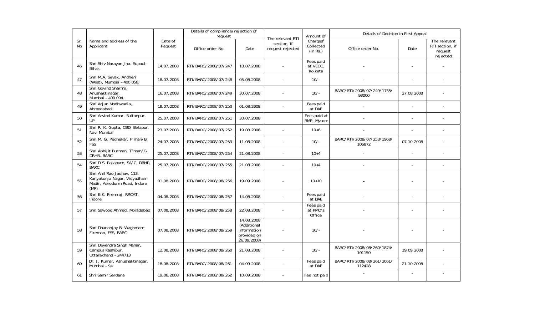|                  |                                                                                                   |                    | Details of compliance/rejection of<br>request |                                                                       | The relevant RTI                | Amount of                                     | Details of Decision in First Appeal  |                |                                                        |
|------------------|---------------------------------------------------------------------------------------------------|--------------------|-----------------------------------------------|-----------------------------------------------------------------------|---------------------------------|-----------------------------------------------|--------------------------------------|----------------|--------------------------------------------------------|
| Sr.<br><b>No</b> | Name and address of the<br>Applicant                                                              | Date of<br>Request | Office order No.                              | Date                                                                  | section, if<br>request rejected | Charles <sup>1</sup><br>Collected<br>(in Rs.) | Office order No.                     | Date           | The relevant<br>RTI section, if<br>request<br>rejected |
| 46               | Shri Shiv Narayan Jha, Supaul,<br>Bihar.                                                          | 14.07.2008         | RTI/BARC/2008/07/247                          | 18.07.2008                                                            |                                 | Fees paid<br>at VECC,<br>Kolkata              |                                      |                |                                                        |
| 47               | Shri M.A. Sevak, Andheri<br>(West), Mumbai - 400 058.                                             | 18.07.2008         | RTI/BARC/2008/07/248                          | 05.08.2008                                                            |                                 | $10/-$                                        |                                      |                |                                                        |
| 48               | Shri Govind Sharma,<br>Anushaktinagar,<br>Mumbai - 400 094.                                       | 16.07.2008         | RTI/BARC/2008/07/249                          | 30.07.2008                                                            |                                 | $10/-$                                        | BARC/RTI/2008/07/249/1735/<br>93000  | 27.08.2008     |                                                        |
| 49               | Shri Arjun Modhwadia,<br>Ahmedabad.                                                               | 18.07.2008         | RTI/BARC/2008/07/250                          | 01.08.2008                                                            |                                 | Fees paid<br>at DAE                           |                                      | ä,             |                                                        |
| 50               | Shri Arvind Kumar, Sultanpur,<br>UP                                                               | 25.07.2008         | RTI/BARC/2008/07/251                          | 30.07.2008                                                            |                                 | Fees paid at<br>RMP, Mysore                   |                                      | $\blacksquare$ |                                                        |
| 51               | Shri R. K. Gupta, CBD, Belapur,<br>Navi Mumbai                                                    | 23.07.2008         | RTI/BARC/2008/07/252                          | 19.08.2008                                                            |                                 | $10 + 6$                                      |                                      |                |                                                        |
| 52               | Shri M. G. Pednekar, F'man/B,<br><b>FSS</b>                                                       | 24.07.2008         | RTI/BARC/2008/07/253                          | 11.08.2008                                                            |                                 | $10/-$                                        | BARC/RTI/2008/07/253/1968/<br>106872 | 07.10.2008     |                                                        |
| 53               | Shri Abhijit Burman, T'man/G,<br>DRHR, BARC                                                       | 25.07.2008         | RTI/BARC/2008/07/254                          | 21.08.2008                                                            |                                 | $10+4$                                        |                                      |                |                                                        |
| 54               | Shri D.S. Rajapure, SA/C, DRHR,<br><b>BARC</b>                                                    | 25.07.2008         | RTI/BARC/2008/07/255                          | 21.08.2008                                                            |                                 | $10+4$                                        |                                      |                |                                                        |
| 55               | Shri Anil Rao Jadhav, 113,<br>Kanyakunja Nagar, Vidyadham<br>Madir, Aerodurm Road, Indore<br>(MP) | 01.08.2008         | RTI/BARC/2008/08/256                          | 19.09.2008                                                            |                                 | $10+10$                                       |                                      |                |                                                        |
| 56               | Shri E.K. Premraj, RRCAT,<br>Indore                                                               | 04.08.2008         | RTI/BARC/2008/08/257                          | 14.08.2008                                                            | $\sim$                          | Fees paid<br>at DAE                           |                                      | ÷,             |                                                        |
| 57               | Shri Sawood Ahmed, Moradabad                                                                      | 07.08.2008         | RTI/BARC/2008/08/258                          | 22.08.2008                                                            |                                 | Fees paid<br>at PMO's<br>Office               |                                      | ÷,             |                                                        |
| 58               | Shri Dhananjay B. Waghmare,<br>Fireman, FSS, BARC                                                 | 07.08.2008         | RTI/BARC/2008/08/259                          | 14.08.2008<br>(Additional<br>information<br>provided on<br>26.09.2008 |                                 | $10/-$                                        |                                      |                |                                                        |
| 59               | Shri Devendra Singh Mahar,<br>Campus Kashipur,<br>Uttarakhand - 244713                            | 12.08.2008         | RTI/BARC/2008/08/260                          | 21.08.2008                                                            |                                 | $10/-$                                        | BARC/RTI/2008/08/260/1874/<br>101150 | 19.09.2008     |                                                        |
| 60               | Dr. J. Kumar, Asnushaktinagar,<br>Mumbai - 94                                                     | 18.08.2008         | RTI/BARC/2008/08/261                          | 04.09.2008                                                            |                                 | Fees paid<br>at DAE                           | BARC/RTI/2008/08/261/2061/<br>112428 | 21.10.2008     |                                                        |
| 61               | Shri Samir Sardana                                                                                | 19.08.2008         | RTI/BARC/2008/08/262                          | 10.09.2008                                                            |                                 | Fee not paid                                  |                                      | $\sim$         | $\overline{a}$                                         |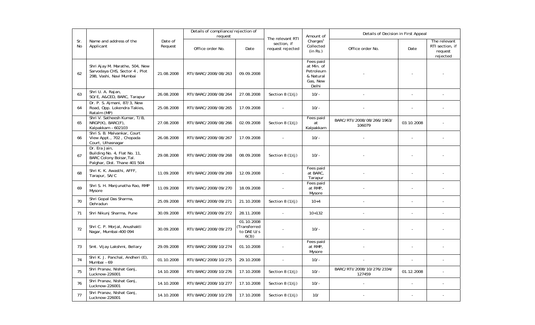|           |                                                                                                           |                    | Details of compliance/rejection of<br>request |                                                 |                                                     |                                                                        | Details of Decision in First Appeal  |            |                                                        |
|-----------|-----------------------------------------------------------------------------------------------------------|--------------------|-----------------------------------------------|-------------------------------------------------|-----------------------------------------------------|------------------------------------------------------------------------|--------------------------------------|------------|--------------------------------------------------------|
| Sr.<br>No | Name and address of the<br>Applicant                                                                      | Date of<br>Request | Office order No.                              | Date                                            | The relevant RTI<br>section, if<br>request rejected | Amount of<br>Charles <sup>1</sup><br>Collected<br>(in Rs.)             | Office order No.                     | Date       | The relevant<br>RTI section, if<br>request<br>rejected |
| 62        | Shri Ajay M. Marathe, 504, New<br>Sarvodaya CHS, Sector 4, Plot<br>29B, Vashi, Navi Mumbai                | 21.08.2008         | RTI/BARC/2008/08/263                          | 09.09.2008                                      |                                                     | Fees paid<br>at Min. of<br>Petroleum<br>& Natural<br>Gas, New<br>Delhi |                                      |            |                                                        |
| 63        | Shri U. A. Rajan,<br>SO/E, A&CED, BARC, Tarapur                                                           | 26.08.2008         | RTI/BARC/2008/08/264                          | 27.08.2008                                      | Section $8(1)(j)$                                   | $10/-$                                                                 |                                      |            |                                                        |
| 64        | Dr. P. S. Ajmani, 87/3, New<br>Road, Opp. Lokendra Takies,<br>Ratalm (MP)                                 | 25.08.2008         | RTI/BARC/2008/08/265                          | 17.09.2008                                      |                                                     | $10/-$                                                                 |                                      |            |                                                        |
| 65        | Shri V. Satheesh Kumar, T/B,<br>$NRGP(K)$ , BARC $(F)$ ,<br>Kalpakkam - 602103                            | 27.08.2008         | RTI/BARC/2008/08/266                          | 02.09.2008                                      | Section $8(1)(i)$                                   | Fees paid<br>at<br>Kalpakkam                                           | BARC/RTI/2008/08/266/1963/<br>106079 | 03.10.2008 |                                                        |
| 66        | Shri S. B. Malvankar, Court<br>View Appt., 702, Chopada<br>Court, Ulhasnagar                              | 26.08.2008         | RTI/BARC/2008/08/267                          | 17.09.2008                                      |                                                     | $10/-$                                                                 |                                      |            |                                                        |
| 67        | Dr. Era Jain,<br>Building No. 4, Flat No. 11,<br>BARC Colony Boisar, Tal.<br>Palghar, Dist. Thane 401 504 | 29.08.2008         | RTI/BARC/2008/09/268                          | 08.09.2008                                      | Section $8(1)(i)$                                   | $10/-$                                                                 |                                      |            |                                                        |
| 68        | Shri K. K. Awasthi, AFFF,<br>Tarapur, SA/C                                                                | 11.09.2008         | RTI/BARC/2008/09/269                          | 12.09.2008                                      |                                                     | Fees paid<br>at BARC,<br>Tarapur                                       |                                      |            |                                                        |
| 69        | Shri S. H. Manjunatha Rao, RMP<br>Mysore                                                                  | 11.09.2008         | RTI/BARC/2008/09/270                          | 18.09.2008                                      |                                                     | Fees paid<br>at RMP,<br>Mysore                                         |                                      |            |                                                        |
| 70        | Shri Gopal Das Sharma,<br>Dehradun                                                                        | 25.09.2008         | RTI/BARC/2008/09/271                          | 21.10.2008                                      | Section $8(1)(i)$                                   | $10+4$                                                                 |                                      |            |                                                        |
| 71        | Shri Nikunj Sharma, Pune                                                                                  | 30.09.2008         | RTI/BARC/2008/09/272                          | 28.11.2008                                      | $\omega$                                            | $10+132$                                                               |                                      |            |                                                        |
| 72        | Shri C. P. Morjal, Anushakti<br>Nagar, Mumbai-400 094                                                     | 30.09.2008         | RTI/BARC/2008/09/273                          | 01.10.2008<br>Transferred<br>to DAE U/s<br>6(3) |                                                     | $10/-$                                                                 |                                      |            |                                                        |
| 73        | Smt. Vijay Lakshmi, Bellary                                                                               | 29.09.2008         | RTI/BARC/2008/10/274                          | 01.10.2008                                      |                                                     | Fees paid<br>at RMP,<br>Mysore                                         |                                      |            |                                                        |
| 74        | Shri K. J. Panchal, Andheri (E),<br>Mumbai - 69                                                           | 01.10.2008         | RTI/BARC/2008/10/275                          | 29.10.2008                                      | $\omega$                                            | $10/-$                                                                 | $\bar{\phantom{a}}$                  |            |                                                        |
| 75        | Shri Pranav, Nishat Ganj,<br>Lucknow-226001                                                               | 14.10.2008         | RTI/BARC/2008/10/276                          | 17.10.2008                                      | Section 8 $(1)(j)$                                  | $10/-$                                                                 | BARC/RTI/2008/10/276/2334/<br>127459 | 01.12.2008 |                                                        |
| 76        | Shri Pranav, Nishat Ganj,<br>Lucknow-226001                                                               | 14.10.2008         | RTI/BARC/2008/10/277                          | 17.10.2008                                      | Section $8(1)(j)$                                   | $10/-$                                                                 |                                      |            |                                                        |
| 77        | Shri Pranav, Nishat Ganj,<br>Lucknow-226001                                                               | 14.10.2008         | RTI/BARC/2008/10/278                          | 17.10.2008                                      | Section 8 $(1)(j)$                                  | 10/                                                                    |                                      |            |                                                        |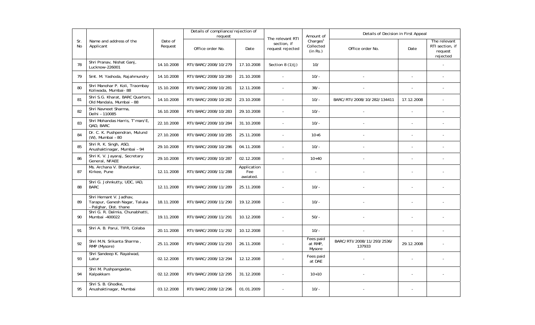|           |                                                                                   |                    | Details of compliance/rejection of<br>request |                                |                                                     | Amount of                                     | Details of Decision in First Appeal  |                          |                                                        |
|-----------|-----------------------------------------------------------------------------------|--------------------|-----------------------------------------------|--------------------------------|-----------------------------------------------------|-----------------------------------------------|--------------------------------------|--------------------------|--------------------------------------------------------|
| Sr.<br>No | Name and address of the<br>Applicant                                              | Date of<br>Request | Office order No.                              | Date                           | The relevant RTI<br>section, if<br>request rejected | Charles <sup>1</sup><br>Collected<br>(in Rs.) | Office order No.                     | Date                     | The relevant<br>RTI section, if<br>request<br>rejected |
| 78        | Shri Pranav, Nishat Ganj,<br>Lucknow-226001                                       | 14.10.2008         | RTI/BARC/2008/10/279                          | 17.10.2008                     | Section 8 $(1)(i)$                                  | 10/                                           |                                      |                          |                                                        |
| 79        | Smt. M. Yashoda, Rajahmundry                                                      | 14.10.2008         | RTI/BARC/2008/10/280                          | 21.10.2008                     | $\sim$                                              | $10/-$                                        |                                      | $\overline{\phantom{a}}$ |                                                        |
| 80        | Shri Manohar P. Koli, Traombay<br>Koliwada, Mumbai- 88                            | 15.10.2008         | RTI/BARC/2008/10/281                          | 12.11.2008                     | $\overline{a}$                                      | $38/-$                                        |                                      | ÷,                       |                                                        |
| 81        | Shri S.G. Kharat, BARC Quarters,<br>Old Mandala, Mumbai - 88                      | 14.10.2008         | RTI/BARC/2008/10/282                          | 23.10.2008                     |                                                     | $10/-$                                        | BARC/RTI/2008/10/282/134411          | 17.12.2008               |                                                        |
| 82        | Shri Navneet Sharma,<br>Delhi - 110085                                            | 16.10.2008         | RTI/BARC/2008/10/283                          | 29.10.2008                     |                                                     | $10/-$                                        |                                      | L.                       |                                                        |
| 83        | Shri Mohandas Harris, T'man/E,<br>QAD, BARC                                       | 22.10.2008         | RTI/BARC/2008/10/284                          | 31.10.2008                     |                                                     | $10/-$                                        |                                      |                          |                                                        |
| 84        | Dr. C. K. Pushpendran, Mulund<br>(W), Mumbai - 80                                 | 27.10.2008         | RTI/BARC/2008/10/285                          | 25.11.2008                     | $\sim$                                              | $10 + 6$                                      |                                      | $\overline{a}$           |                                                        |
| 85        | Shri R. K. Singh, ASO,<br>Anushaktinagar, Mumbai - 94                             | 29.10.2008         | RTI/BARC/2008/10/286                          | 04.11.2008                     | $\sim$                                              | $10/-$                                        |                                      | ÷,                       |                                                        |
| 86        | Shri K. V. Jayaraj, Secretary<br>General, NFAEE                                   | 29.10.2008         | RTI/BARC/2008/10/287                          | 02.12.2008                     |                                                     | $10+40$                                       |                                      |                          |                                                        |
| 87        | Ms. Archana V. Bhavtankar,<br>Kirkee, Pune                                        | 12.11.2008         | RTI/BARC/2008/11/288                          | Application<br>Fee<br>awiated. |                                                     |                                               |                                      |                          |                                                        |
| 88        | Shri G. Johnkutty, UDC, IAD,<br><b>BARC</b>                                       | 12.11.2008         | RTI/BARC/2008/11/289                          | 25.11.2008                     |                                                     | $10/-$                                        |                                      |                          |                                                        |
| 89        | Shri Hemant V. Jadhav,<br>Tarapur, Ganesh Nagar, Taluka<br>- Palghar, Dist. thane | 18.11.2008         | RTI/BARC/2008/11/290                          | 19.12.2008                     |                                                     | $10/-$                                        |                                      |                          |                                                        |
| 90        | Shri G. R. Dalmia, Chunabhatti,<br>Mumbai -400022                                 | 19.11.2008         | RTI/BARC/2008/11/291                          | 10.12.2008                     |                                                     | $50/-$                                        |                                      | $\overline{\phantom{a}}$ |                                                        |
| 91        | Shri A. B. Parui, TIFR, Colaba                                                    | 20.11.2008         | RTI/BARC/2008/11/292                          | 10.12.2008                     | $\overline{a}$                                      | $10/-$                                        |                                      | ÷,                       |                                                        |
| 92        | Shri M.N. Srikanta Sharma,<br>RMP (Mysore)                                        | 25.11.2008         | RTI/BARC/2008/11/293                          | 26.11.2008                     |                                                     | Fees paid<br>at RMP,<br>Mysore                | BARC/RTI/2008/11/293/2536/<br>137933 | 29.12.2008               |                                                        |
| 93        | Shri Sandeep K. Rayalwad,<br>Latur                                                | 02.12.2008         | RTI/BARC/2008/12/294                          | 12.12.2008                     |                                                     | Fees paid<br>at DAE                           |                                      |                          |                                                        |
| 94        | Shri M. Pushpangadan,<br>Kalpakkam                                                | 02.12.2008         | RTI/BARC/2008/12/295                          | 31.12.2008                     |                                                     | $10+10$                                       |                                      |                          |                                                        |
| 95        | Shri S. B. Ghodke.<br>Anushaktinagar, Mumbai                                      | 03.12.2008         | RTI/BARC/2008/12/296                          | 01.01.2009                     |                                                     | $10/-$                                        |                                      |                          |                                                        |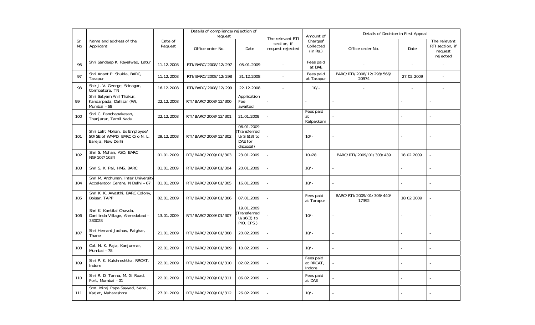|           |                                                                                      |                    | Details of compliance/rejection of<br>request |                                                                    |                                                     | Amount of                                     | Details of Decision in First Appeal |                          |                                                        |
|-----------|--------------------------------------------------------------------------------------|--------------------|-----------------------------------------------|--------------------------------------------------------------------|-----------------------------------------------------|-----------------------------------------------|-------------------------------------|--------------------------|--------------------------------------------------------|
| Sr.<br>No | Name and address of the<br>Applicant                                                 | Date of<br>Request | Office order No.                              | Date                                                               | The relevant RTI<br>section, if<br>request rejected | Charles <sup>1</sup><br>Collected<br>(in Rs.) | Office order No.                    | Date                     | The relevant<br>RTI section, if<br>request<br>rejected |
| 96        | Shri Sandeep K. Rayalwad, Latur                                                      | 11.12.2008         | RTI/BARC/2008/12/297                          | 05.01.2009                                                         |                                                     | Fees paid<br>at DAE                           |                                     |                          |                                                        |
| 97        | Shri Anant P. Shukla, BARC,<br>Tarapur                                               | 11.12.2008         | RTI/BARC/2008/12/298                          | 31.12.2008                                                         |                                                     | Fees paid<br>at Tarapur                       | BARC/RTI/2008/12/298/566/<br>20974  | 27.02.2009               |                                                        |
| 98        | Shir J. V. George, Srinagar,<br>Coimbatore, TN                                       | 16.12.2008         | RTI/BARC/2008/12/299                          | 22.12.2008                                                         |                                                     | $10/-$                                        |                                     | $\overline{\phantom{a}}$ |                                                        |
| 99        | Shri Satyam Anil Thakur,<br>Kandarpada, Dahisar (W),<br>Mumbai - 68                  | 22.12.2008         | RTI/BARC/2008/12/300                          | Application<br>Fee<br>awaited.                                     |                                                     |                                               |                                     |                          |                                                        |
| 100       | Shri C. Panchapakesan,<br>Thanjarur, Tamil Nadu                                      | 22.12.2008         | RTI/BARC/2008/12/301                          | 21.01.2009                                                         |                                                     | Fees paid<br>at<br>Kalpakkam                  |                                     |                          |                                                        |
| 101       | Shri Lalit Mohan, Ex Employee/<br>SO/SE of WMPD, BARC C/o N. L.<br>Bareja, New Delhi | 29.12.2008         | RTI/BARC/2008/12/302                          | 06.01.2009<br>Transferred<br>$U/S 6(3)$ to<br>DAE for<br>disposal) |                                                     | $10/-$                                        |                                     |                          |                                                        |
| 102       | Shri S. Mohan, ASO, BARC<br>NG/107/1634                                              | 01.01.2009         | RTI/BARC/2009/01/303                          | 23.01.2009                                                         |                                                     | $10 + 28$                                     | BARC/RTI/2009/01/303/439            | 18.02.2009               |                                                        |
| 103       | Shri S. K. Pal, HMS, BARC                                                            | 01.01.2009         | RTI/BARC/2009/01/304                          | 20.01.2009                                                         |                                                     | $10/-$                                        |                                     |                          |                                                        |
| 104       | Shri M. Archunan, Inter University<br>Accelerator Centre, N Delhi - 67               | 01.01.2009         | RTI/BARC/2009/01/305                          | 16.01.2009                                                         |                                                     | $10/-$                                        | $\overline{\phantom{a}}$            |                          |                                                        |
| 105       | Shri K. K. Awasthi, BARC Colony,<br>Boisar, TAPP                                     | 02.01.2009         | RTI/BARC/2009/01/306                          | 07.01.2009                                                         |                                                     | Fees paid<br>at Tarapur                       | BARC/RTI/2009/01/306/440/<br>17392  | 18.02.2009               |                                                        |
| 106       | Shri K. Kantilal Chavda,<br>Danilinda Village, Ahmedabad -<br>380028                 | 13.01.2009         | RTI/BARC/2009/01/307                          | 19.01.2009<br>Transferred<br>$U/s6(3)$ to<br>PIO, DPS.)            |                                                     | $10/-$                                        |                                     |                          |                                                        |
| 107       | Shri Hemant Jadhav, Palghar,<br>Thane                                                | 21.01.2009         | RTI/BARC/2009/01/308                          | 20.02.2009                                                         |                                                     | $10/-$                                        | $\overline{a}$                      |                          |                                                        |
| 108       | Col. N. K. Raja, Kanjurmar,<br>Mumbai - 78                                           | 22.01.2009         | RTI/BARC/2009/01/309                          | 10.02.2009                                                         |                                                     | $10/-$                                        | $\overline{\phantom{a}}$            |                          |                                                        |
| 109       | Shri P. K. Kulshreshtha, RRCAT,<br>Indore                                            | 22.01.2009         | RTI/BARC/2009/01/310                          | 02.02.2009                                                         |                                                     | Fees paid<br>at RRCAT,<br>Indore              |                                     |                          |                                                        |
| 110       | Shri R. D. Tanna, M. G. Road,<br>Fort, Mumbai - 01                                   | 22.01.2009         | RTI/BARC/2009/01/311                          | 06.02.2009                                                         |                                                     | Fees paid<br>at DAE                           |                                     |                          |                                                        |
| 111       | Smt. Miraj Papa Sayyad, Neral,<br>Karjat, Maharashtra                                | 27.01.2009         | RTI/BARC/2009/01/312                          | 26.02.2009                                                         |                                                     | $10/-$                                        |                                     |                          |                                                        |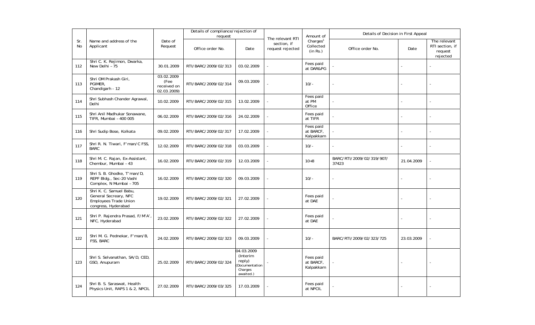|           |                                                                                                         |                                                  | Details of compliance/rejection of<br>request |                                                                           |                                                     | Amount of                                     | Details of Decision in First Appeal |            |                                                        |
|-----------|---------------------------------------------------------------------------------------------------------|--------------------------------------------------|-----------------------------------------------|---------------------------------------------------------------------------|-----------------------------------------------------|-----------------------------------------------|-------------------------------------|------------|--------------------------------------------------------|
| Sr.<br>No | Name and address of the<br>Applicant                                                                    | Date of<br>Request                               | Office order No.                              | Date                                                                      | The relevant RTI<br>section, if<br>request rejected | Charles <sup>1</sup><br>Collected<br>(in Rs.) | Office order No.                    | Date       | The relevant<br>RTI section, if<br>request<br>rejected |
| 112       | Shri C. K. Rejimon, Dwarka,<br>New Delhi - 75                                                           | 30.01.2009                                       | RTI/BARC/2009/02/313                          | 03.02.2009                                                                |                                                     | Fees paid<br>at DAR&PG                        |                                     |            |                                                        |
| 113       | Shri OM Prakash Giri,<br>PGIMER,<br>Chandigarh - 12                                                     | 03.02.2009<br>(Fee<br>received on<br>02.03.2009) | RTI/BARC/2009/02/314                          | 09.03.2009                                                                |                                                     | $10/-$                                        |                                     |            |                                                        |
| 114       | Shri Subhash Chander Agrawal,<br>Delhi                                                                  | 10.02.2009                                       | RTI/BARC/2009/02/315                          | 13.02.2009                                                                |                                                     | Fees paid<br>at PM<br>Office                  |                                     |            |                                                        |
| 115       | Shri Anil Madhukar Sonawane,<br>TIFR, Mumbai - 400 005                                                  | 06.02.2009                                       | RTI/BARC/2009/02/316                          | 24.02.2009                                                                |                                                     | Fees paid<br>at TIFR                          |                                     |            |                                                        |
| 116       | Shri Sudip Bose, Kolkata                                                                                | 09.02.2009                                       | RTI/BARC/2009/02/317                          | 17.02.2009                                                                |                                                     | Fees paid<br>at BARCF,<br>Kalpakkam           |                                     |            |                                                        |
| 117       | Shri R. N. Tiwari, F'man/C FSS,<br><b>BARC</b>                                                          | 12.02.2009                                       | RTI/BARC/2009/02/318                          | 03.03.2009                                                                |                                                     | $10/-$                                        |                                     |            |                                                        |
| 118       | Shri M. C. Rajan, Ex-Assistant,<br>Chembur, Mumbai - 43                                                 | 16.02.2009                                       | RTI/BARC/2009/02/319                          | 12.03.2009                                                                |                                                     | $10+8$                                        | BARC/RTI/2009/02/319/907/<br>37423  | 21.04.2009 |                                                        |
| 119       | Shri S. B. Ghodke, T'man/D,<br>REPF Bldg., Sec-20 Vashi<br>Complex, N Mumbai - 705                      | 16.02.2009                                       | RTI/BARC/2009/02/320                          | 09.03.2009                                                                |                                                     | $10/-$                                        |                                     |            |                                                        |
| 120       | Shri K. C. Samuel Babu,<br>General Secreary, NFC<br><b>Employees Trade Union</b><br>congress, Hyderabad | 19.02.2009                                       | RTI/BARC/2009/02/321                          | 27.02.2009                                                                |                                                     | Fees paid<br>at DAE                           |                                     |            |                                                        |
| 121       | Shri P. Rajendra Prasad, F/M'A',<br>NFC, Hyderabad                                                      | 23.02.2009                                       | RTI/BARC/2009/02/322                          | 27.02.2009                                                                |                                                     | Fees paid<br>at DAE                           |                                     |            |                                                        |
| 122       | Shri M. G. Pednekar, F'man/B,<br>FSS, BARC                                                              | 24.02.2009                                       | RTI/BARC/2009/02/323                          | 09.03.2009                                                                |                                                     | $10/-$                                        | BARC/RTI/2009/02/323/725            | 23.03.2009 |                                                        |
| 123       | Shri S. Selvanathan, SA/D, CED,<br>GSO, Anupuram                                                        | 25.02.2009                                       | RTI/BARC/2009/02/324                          | 04.03.2009<br>(Interim<br>reply)<br>Documentation<br>Charges<br>awaited.) |                                                     | Fees paid<br>at BARCF,<br>Kalpakkam           |                                     |            |                                                        |
| 124       | Shri B. S. Saraswat, Health<br>Physics Unit, RAPS 1 & 2, NPCIL                                          | 27.02.2009                                       | RTI/BARC/2009/03/325                          | 17.03.2009                                                                |                                                     | Fees paid<br>at NPCIL                         |                                     |            |                                                        |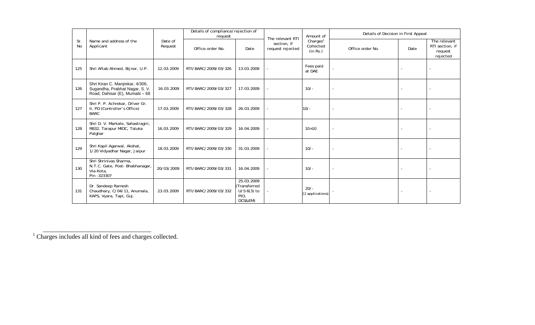|           |                                                                                                     |                    | Details of compliance/rejection of<br>request |                                                                | The relevant RTI                | Amount of                                     | Details of Decision in First Appeal |      |                                                        |
|-----------|-----------------------------------------------------------------------------------------------------|--------------------|-----------------------------------------------|----------------------------------------------------------------|---------------------------------|-----------------------------------------------|-------------------------------------|------|--------------------------------------------------------|
| Sr.<br>No | Name and address of the<br>Applicant                                                                | Date of<br>Request | Office order No.                              | Date                                                           | section, if<br>request rejected | Charges <sup>1</sup><br>Collected<br>(in Rs.) | Office order No.                    | Date | The relevant<br>RTI section, if<br>request<br>rejected |
| 125       | Shri Aftab Ahmed, Bijnor, U.P.                                                                      | 12.03.2009         | RTI/BARC/2009/03/326                          | 13.03.2009                                                     |                                 | Fees paid<br>at DAE                           |                                     |      |                                                        |
| 126       | Shri Kiran C. Manjrekar, 4/306,<br>Sugandha, Prabhat Nagar, S. V.<br>Road, Dahisar (E), Mumabi - 68 | 16.03.2009         | RTI/BARC/2009/03/327                          | 17.03.2009                                                     |                                 | $10/-$                                        |                                     |      |                                                        |
| 127       | Shri P. P. Achrekar, Driver Gr.<br>II, PD (Controller's Office)<br><b>BARC</b>                      | 17.03.2009         | RTI/BARC/2009/03/328                          | 26.03.2009                                                     |                                 | $10/-$                                        | $\overline{\phantom{a}}$            |      |                                                        |
| 128       | Shri D. V. Markale, Sahastragiri,<br>RB32, Tarapur MIDC, Taluka<br>Palghar                          | 16.03.2009         | RTI/BARC/2009/03/329                          | 16.04.2009                                                     |                                 | $10+10$                                       | $\overline{\phantom{a}}$            |      |                                                        |
| 129       | Shri Kapil Agarwal, Akshat,<br>1/20 Vidyadhar Nagar, Jaipur                                         | 18.03.2009         | RTI/BARC/2009/03/330                          | 31.03.2009                                                     |                                 | $10/-$                                        | $\overline{\phantom{a}}$            |      |                                                        |
| 130       | Shri Shrinivas Sharma,<br>N.T.C. Gate, Post-Bhabhanagar,<br>Via-Kota,<br>Pin -323307                | 20/03/2009         | RTI/BARC/2009/03/331                          | 16.04.2009                                                     |                                 | $10/-$                                        | $\overline{\phantom{a}}$            |      |                                                        |
| 131       | Dr. Sandeep Ramesh<br>Chaudhary, C/04/11, Anumala,<br>KAPS, Vyara, Tapi, Guj.                       | 23.03.2009         | RTI/BARC/2009/03/332                          | 25.03.2009<br>(Transferred<br>$U/S 6(3)$ to<br>PIO,<br>DCS&EM) |                                 | $20/-$<br>(2 applications)                    |                                     |      |                                                        |

<sup>1</sup> Charges includes all kind of fees and charges collected.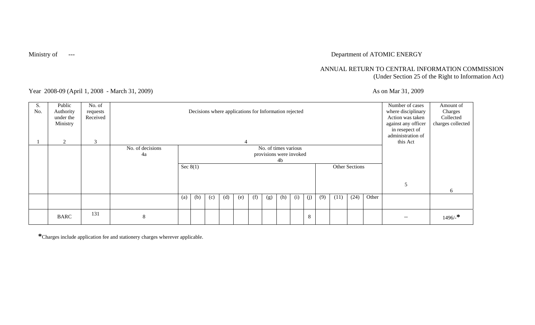## Ministry of **Face 2018** --- Department of ATOMIC ENERGY

### ANNUAL RETURN TO CENTRAL INFORMATION COMMISSION (Under Section 25 of the Right to Information Act)

Year 2008-09 (April 1, 2008 - March 31, 2009) As on Mar 31, 2009

| S.<br>No. | Public<br>Authority<br>under the<br>Ministry | No. of<br>requests<br>Received |                        |     |                                                                                       |     |     |     |     | Decisions where applications for Information rejected |     |     |     |     |                               |      |       | Number of cases<br>where disciplinary<br>Action was taken<br>against any officer<br>in resepect of | Amount of<br>Charges<br>Collected<br>charges collected |
|-----------|----------------------------------------------|--------------------------------|------------------------|-----|---------------------------------------------------------------------------------------|-----|-----|-----|-----|-------------------------------------------------------|-----|-----|-----|-----|-------------------------------|------|-------|----------------------------------------------------------------------------------------------------|--------------------------------------------------------|
|           | $\mathcal{D}$                                | 3                              |                        |     |                                                                                       |     |     |     |     |                                                       |     |     |     |     | administration of<br>this Act |      |       |                                                                                                    |                                                        |
|           |                                              |                                | No. of decisions<br>4a |     | No. of times various<br>provisions were invoked<br>4b<br>Sec $8(1)$<br>Other Sections |     |     |     |     |                                                       |     |     |     |     |                               |      |       |                                                                                                    |                                                        |
|           |                                              |                                |                        |     |                                                                                       |     |     |     |     |                                                       |     |     |     |     |                               |      |       |                                                                                                    | 6                                                      |
|           |                                              |                                |                        | (a) | (b)                                                                                   | (c) | (d) | (e) | (f) | (g)                                                   | (h) | (i) | (j) | (9) | (11)                          | (24) | Other |                                                                                                    |                                                        |
|           | <b>BARC</b>                                  | 131                            | 8                      |     |                                                                                       |     |     |     |     |                                                       |     |     | 8   |     |                               |      |       | $- -$                                                                                              | $1496/$ *                                              |

**\***Charges include application fee and stationery charges wherever applicable.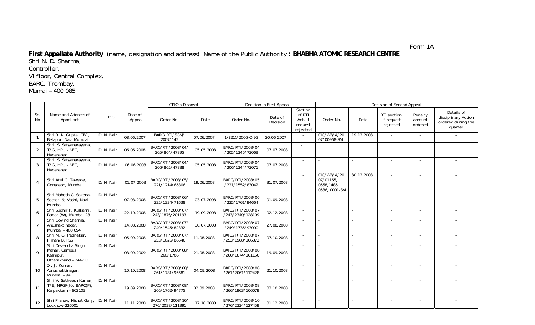Form-1A

**First Appellate Authority** (name, designation and address) Name of the Public Authority **: BHABHA ATOMIC RESEARCH CENTRE**  Shri N. D. Sharma, Controller,

VI floor, Central Complex,

BARC, Trombay,

Mumai – 400 085

|                         |                                                                           |            |                   | <b>CPIO's Disposal</b>               |            |                                      | Decision in First Appeal |                                                     |                                                         |            | Decision of Second Appeal              |                              |                                                                    |
|-------------------------|---------------------------------------------------------------------------|------------|-------------------|--------------------------------------|------------|--------------------------------------|--------------------------|-----------------------------------------------------|---------------------------------------------------------|------------|----------------------------------------|------------------------------|--------------------------------------------------------------------|
| Sr.<br>No               | Name and Address of<br>Appellant                                          | CPIO       | Date of<br>Appeal | Order No.                            | Date       | Order No.                            | Date of<br>Decision      | Section<br>of RTI<br>Act, if<br>request<br>rejected | Order No.                                               | Date       | RTI section.<br>if request<br>rejected | Penalty<br>amount<br>ordered | Details of<br>disciplinary Action<br>ordered during the<br>quarter |
| $\overline{\mathbf{1}}$ | Shri R. K. Gupta, CBD,<br>Belapur, Navi Mumbai                            | D. N. Nair | 08.06.2007        | BARC/RTI/SGM/<br>2007/142            | 07.06.2007 | 1/(21)/2006-C-96                     | 20.06.2007               |                                                     | CIC/WB/A/20<br>07/00968-SM                              | 19.12.2008 | $\sim$                                 |                              |                                                                    |
| 2                       | Shri. S. Satyanarayana,<br>T/G, HPU - NFC,<br>Hyderabad                   | D. N. Nair | 06.06.2008        | BARC/RTI/2008/04/<br>205/864/47895   | 05.05.2008 | BARC/RTI/2008/04<br>/205/1345/73069  | 07.07.2008               | $\sim$                                              |                                                         |            |                                        |                              |                                                                    |
| 3                       | Shri. S. Satyanarayana,<br>T/G, HPU - NFC,<br>Hyderabad                   | D. N. Nair | 06.06.2008        | BARC/RTI/2008/04/<br>206/865/47888   | 05.05.2008 | BARC/RTI/2008/04<br>/206/1344/73071  | 07.07.2008               |                                                     |                                                         |            | $\overline{\phantom{a}}$               | $\sim$                       |                                                                    |
| $\overline{4}$          | Shri Atul C. Tawade,<br>Goregaon, Mumbai                                  | D. N. Nair | 01.07.2008        | BARC/RTI/2008/05,<br>221/1214/65806  | 19.06.2008 | BARC/RTI/2008/05<br>/221/1552/83042  | 31.07.2008               | $\sim$                                              | CIC/WB/A/20<br>07/01165.<br>0558,1485,<br>0536, 0001-SM | 30.12.2008 | $\sim$                                 | $\blacksquare$               |                                                                    |
| 5                       | Shri Mahesh C. Saxena.<br>Sector -9, Vashi, Navi<br>Mumbai                | D. N. Nair | 07.08.2008        | BARC/RTI/2008/06/<br>235/1334/71638  | 03.07.2008 | BARC/RTI/2008/06<br>/235/1761/94664  | 01.09.2008               |                                                     |                                                         |            | $\blacksquare$                         |                              |                                                                    |
| 6                       | Shri Sudhir P. Kulkarni<br>Dadar (W), Mumbai-28                           | D. N. Nair | 22.10.2008        | BARC/RTI/2008/07/<br>243/1876/201193 | 19.09.2008 | BARC/RTI/2008/07<br>/243/2340/128109 | 02.12.2008               | $\sim$                                              |                                                         | $\sim$     | $\sim$                                 | $\sim$                       |                                                                    |
| $\overline{7}$          | Shri Govind Sharma,<br>Anushaktinagar,<br>Mumbai - 400 094.               | D. N. Nair | 14.08.2008        | BARC/RTI/2008/07/<br>249/1545/82332  | 30.07.2008 | BARC/RTI/2008/07<br>/249/1735/93000  | 27.08.2008               |                                                     |                                                         |            | $\blacksquare$                         | $\blacksquare$               |                                                                    |
| 8                       | Shri M. G. Pednekar,<br>F'man/B, FSS                                      | D. N. Nair | 05.09.2008        | BARC/RTI/2008/07<br>253/1626/86646   | 11.08.2008 | BARC/RTI/2008/07<br>/253/1968/106872 | 07.10.2008               | $\sim$                                              |                                                         |            | $\blacksquare$                         | $\overline{\phantom{a}}$     | $\sim$                                                             |
| $\mathsf{Q}$            | Shri Devendra Singh<br>Mahar, Campus<br>Kashipur,<br>Uttarakhand - 244713 | D. N. Nair | 03.09.2009        | BARC/RTI/2008/08/<br>260/1706        | 21.08.2008 | BARC/RTI/2008/08<br>/260/1874/101150 | 19.09.2008               |                                                     |                                                         |            | $\overline{\phantom{a}}$               |                              |                                                                    |
| 10                      | Dr. J. Kumar.<br>Asnushaktinagar,<br>Mumbai - 94                          | D. N. Nair | 10.10.2008        | BARC/RTI/2008/08,<br>261/1781/95681  | 04.09.2008 | BARC/RTI/2008/08<br>/261/2061/112428 | 21.10.2008               |                                                     |                                                         |            |                                        |                              |                                                                    |
| 11                      | Shri V. Satheesh Kumar.<br>T/B, NRGP(K), BARC(F),<br>Kalpakkam - 602103   | D. N. Nair | 19.09.2008        | BARC/RTI/2008/08<br>266/1762/94775   | 02.09.2008 | BARC/RTI/2008/08<br>/266/1963/106079 | 03.10.2008               | $\overline{\phantom{a}}$                            |                                                         |            | $\sim$                                 | $\overline{\phantom{a}}$     |                                                                    |
| 12                      | Shri Pranav, Nishat Ganj,<br>Lucknow-226001                               | D. N. Nair | 11.11.2008        | BARC/RTI/2008/10/<br>276/2038/111391 | 17.10.2008 | BARC/RTI/2008/10<br>/276/2334/127459 | 01.12.2008               | $\overline{\phantom{a}}$                            |                                                         |            | $\overline{\phantom{a}}$               | $\overline{\phantom{a}}$     |                                                                    |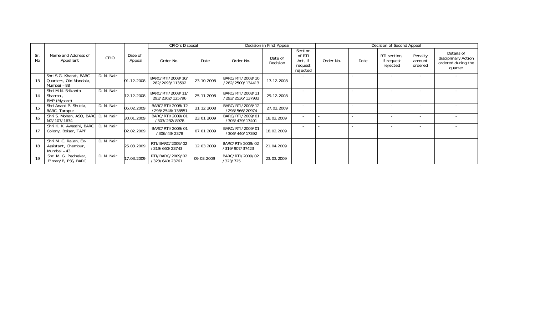|           |                                                                 |            |                   | CPIO's Disposal                      |            |                                      | Decision in First Appeal |                                                     |           |      | Decision of Second Appeal              |                              |                                                                    |
|-----------|-----------------------------------------------------------------|------------|-------------------|--------------------------------------|------------|--------------------------------------|--------------------------|-----------------------------------------------------|-----------|------|----------------------------------------|------------------------------|--------------------------------------------------------------------|
| Sr.<br>No | Name and Address of<br>Appellant                                | CPIO       | Date of<br>Appeal | Order No.                            | Date       | Order No.                            | Date of<br>Decision      | Section<br>of RTI<br>Act, if<br>request<br>rejected | Order No. | Date | RTI section,<br>if request<br>rejected | Penalty<br>amount<br>ordered | Details of<br>disciplinary Action<br>ordered during the<br>quarter |
|           | Shri S.G. Kharat, BARC<br>Quarters, Old Mandala,<br>Mumbai - 88 | D. N. Nair | 01.12.2008        | BARC/RTI/2008/10/<br>282/2093/113592 | 23.10.2008 | BARC/RTI/2008/10<br>/282/2500/134413 | 17.12.2008               |                                                     |           |      | $\overline{\phantom{a}}$               | $\overline{\phantom{a}}$     |                                                                    |
| 14        | Shri M.N. Srikanta<br>Sharma,<br>RMP (Mysore)                   | D. N. Nair | 12.12.2008        | BARC/RTI/2008/11/<br>293/2302/125796 | 25.11.2008 | BARC/RTI/2008/11<br>/293/2536/137933 | 29.12.2008               | $\sim$                                              |           |      | $\overline{\phantom{a}}$               | $\overline{\phantom{a}}$     |                                                                    |
| 15        | Shri Anant P. Shukla,<br>BARC, Tarapur                          | D. N. Nair | 05.02.2009        | BARC/RTI/2008/12<br>/298/2546/138551 | 31.12.2008 | BARC/RTI/2008/12<br>/298/566/20974   | 27.02.2009               |                                                     |           |      |                                        |                              |                                                                    |
| 16        | Shri S. Mohan, ASO, BARC D. N. Nair<br>NG/107/1634              |            | 30.01.2009        | BARC/RTI/2009/01<br>/303/232/8978    | 23.01.2009 | BARC/RTI/2009/01<br>/303/439/17401   | 18.02.2009               | $\overline{a}$                                      |           |      | $\overline{\phantom{0}}$               |                              |                                                                    |
|           | Shri K. K. Awasthi, BARC   D. N. Nair<br>Colony, Boisar, TAPP   |            | 02.02.2009        | BARC/RTI/2009/01<br>/306/43/2378     | 07.01.2009 | BARC/RTI/2009/01<br>/306/440/17392   | 18.02.2009               | $\overline{a}$                                      |           |      | $\sim$                                 |                              |                                                                    |
| 18        | Shri M. C. Rajan, Ex-<br>Assistant, Chembur,<br>Mumbai - 43     | D. N. Nair | 25.03.2009        | RTI/BARC/2009/02<br>/319/660/23743   | 12.03.2009 | BARC/RTI/2009/02<br>/319/907/37423   | 21.04.2009               |                                                     |           |      |                                        |                              |                                                                    |
| 19        | Shri M. G. Pednekar,<br>F'man/B, FSS, BARC                      | D. N. Nair | 17.03.2009        | RTI/BARC/2009/02<br>/323/640/23761   | 09.03.2009 | BARC/RTI/2009/02<br>/323/725         | 23.03.2009               |                                                     |           |      |                                        |                              |                                                                    |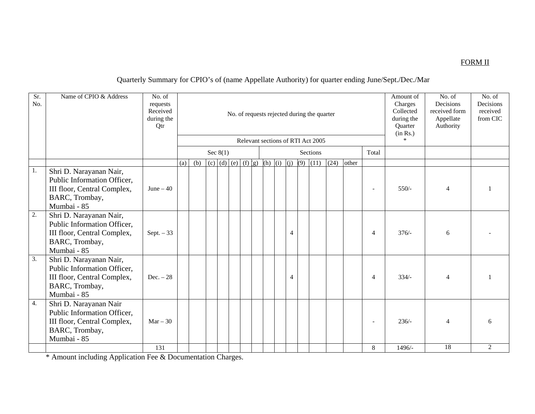### FORM II

## Quarterly Summary for CPIO's of (name Appellate Authority) for quarter ending June/Sept./Dec./Mar

| Sr.<br>No.       | Name of CPIO & Address                                                                                                 | No. of<br>requests<br>Received<br>during the<br>Qtr |     |                                 |  |                                   |  |  |  |  |  |                | No. of requests rejected during the quarter<br>Relevant sections of RTI Act 2005 |      |       |                | Amount of<br>Charges<br>Collected<br>during the<br>Quarter<br>(in Rs.)<br>$\star$ | No. of<br>Decisions<br>received form<br>Appellate<br>Authority | No. of<br>Decisions<br>received<br>from CIC |
|------------------|------------------------------------------------------------------------------------------------------------------------|-----------------------------------------------------|-----|---------------------------------|--|-----------------------------------|--|--|--|--|--|----------------|----------------------------------------------------------------------------------|------|-------|----------------|-----------------------------------------------------------------------------------|----------------------------------------------------------------|---------------------------------------------|
|                  |                                                                                                                        |                                                     |     | Sec $8(1)$<br>Total<br>Sections |  |                                   |  |  |  |  |  |                |                                                                                  |      |       |                |                                                                                   |                                                                |                                             |
|                  |                                                                                                                        |                                                     | (a) | (b)                             |  | (c) (d) (e) (f) $ g $ (h) (i) (j) |  |  |  |  |  |                | $(9)$ $(11)$                                                                     | (24) | other |                |                                                                                   |                                                                |                                             |
| 1.               | Shri D. Narayanan Nair,<br>Public Information Officer,<br>III floor, Central Complex,<br>BARC, Trombay,<br>Mumbai - 85 | June $-40$                                          |     |                                 |  |                                   |  |  |  |  |  |                |                                                                                  |      |       |                | $550/-$                                                                           | $\overline{4}$                                                 |                                             |
| $\overline{2}$ . | Shri D. Narayanan Nair,<br>Public Information Officer,<br>III floor, Central Complex,<br>BARC, Trombay,<br>Mumbai - 85 | $Sept. - 33$                                        |     |                                 |  |                                   |  |  |  |  |  | $\overline{4}$ |                                                                                  |      |       | $\overline{4}$ | $376/-$                                                                           | 6                                                              |                                             |
| $\overline{3}$ . | Shri D. Narayanan Nair,<br>Public Information Officer,<br>III floor, Central Complex,<br>BARC, Trombay,<br>Mumbai - 85 | $Dec. - 28$                                         |     |                                 |  |                                   |  |  |  |  |  | $\overline{4}$ |                                                                                  |      |       | $\overline{4}$ | $334/-$                                                                           | $\overline{4}$                                                 |                                             |
| 4.               | Shri D. Narayanan Nair<br>Public Information Officer,<br>III floor, Central Complex,<br>BARC, Trombay,<br>Mumbai - 85  | $Mar - 30$                                          |     |                                 |  |                                   |  |  |  |  |  |                |                                                                                  |      |       |                | $236/-$                                                                           | $\overline{4}$                                                 |                                             |
|                  |                                                                                                                        | 131                                                 |     |                                 |  |                                   |  |  |  |  |  |                |                                                                                  |      |       | 8              | $1496/-$                                                                          | 18                                                             | $\overline{2}$                              |

\* Amount including Application Fee & Documentation Charges.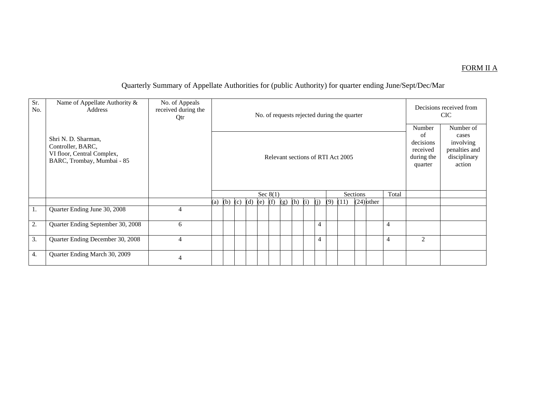#### FORM II A

## Quarterly Summary of Appellate Authorities for (public Authority) for quarter ending June/Sept/Dec/Mar

| Sr.<br>No. | Name of Appellate Authority &<br>Address                                                             | No. of Appeals<br>received during the<br>Qtr |     |                                  |  |  |            |  |     |           |  |                |                | No. of requests rejected during the quarter |              |                |                                                                | Decisions received from<br>CIC.                                            |
|------------|------------------------------------------------------------------------------------------------------|----------------------------------------------|-----|----------------------------------|--|--|------------|--|-----|-----------|--|----------------|----------------|---------------------------------------------|--------------|----------------|----------------------------------------------------------------|----------------------------------------------------------------------------|
|            | Shri N. D. Sharman,<br>Controller, BARC,<br>VI floor, Central Complex,<br>BARC, Trombay, Mumbai - 85 |                                              |     |                                  |  |  |            |  |     |           |  |                |                | Relevant sections of RTI Act 2005           |              |                | Number<br>of<br>decisions<br>received<br>during the<br>quarter | Number of<br>cases<br>involving<br>penalties and<br>disciplinary<br>action |
|            |                                                                                                      |                                              |     |                                  |  |  | Sec $8(1)$ |  |     |           |  |                |                | <b>Sections</b>                             |              | Total          |                                                                |                                                                            |
|            |                                                                                                      |                                              | (a) | (b) (c) (d)                      |  |  | $(e)$ (f)  |  | (g) | $(h)$ (i) |  | (i)            | (9)            | (11)                                        | $(24)$ other |                |                                                                |                                                                            |
| 1.         | Quarter Ending June 30, 2008                                                                         | $\overline{4}$                               |     |                                  |  |  |            |  |     |           |  |                |                |                                             |              |                |                                                                |                                                                            |
| 2.         | Quarter Ending September 30, 2008                                                                    | 6                                            |     |                                  |  |  |            |  |     |           |  | $\overline{4}$ |                |                                             |              | $\overline{4}$ |                                                                |                                                                            |
| 3.         | Quarter Ending December 30, 2008                                                                     | $\overline{4}$                               |     | $\overline{4}$<br>$\overline{4}$ |  |  |            |  |     |           |  |                | $\overline{2}$ |                                             |              |                |                                                                |                                                                            |
| 4.         | Quarter Ending March 30, 2009                                                                        | 4                                            |     |                                  |  |  |            |  |     |           |  |                |                |                                             |              |                |                                                                |                                                                            |